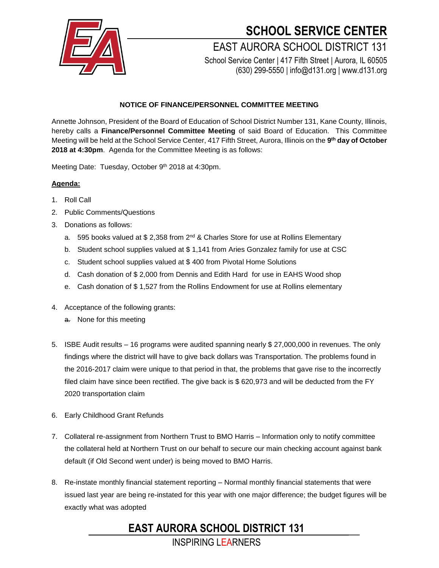

# **SCHOOL SERVICE CENTER**

### EAST AURORA SCHOOL DISTRICT 131 School Service Center | 417 Fifth Street | Aurora, IL 60505

(630) 299-5550 | info@d131.org | www.d131.org

#### **NOTICE OF FINANCE/PERSONNEL COMMITTEE MEETING**

Annette Johnson, President of the Board of Education of School District Number 131, Kane County, Illinois, hereby calls a **Finance/Personnel Committee Meeting** of said Board of Education. This Committee Meeting will be held at the School Service Center, 417 Fifth Street, Aurora, Illinois on the **9 th day of October 2018 at 4:30pm**. Agenda for the Committee Meeting is as follows:

Meeting Date: Tuesday, October 9<sup>th</sup> 2018 at 4:30pm.

#### **Agenda:**

- 1. Roll Call
- 2. Public Comments/Questions
- 3. Donations as follows:
	- a. 595 books valued at \$ 2,358 from 2<sup>nd</sup> & Charles Store for use at Rollins Elementary
	- b. Student school supplies valued at \$ 1,141 from Aries Gonzalez family for use at CSC
	- c. Student school supplies valued at \$ 400 from Pivotal Home Solutions
	- d. Cash donation of \$ 2,000 from Dennis and Edith Hard for use in EAHS Wood shop
	- e. Cash donation of \$ 1,527 from the Rollins Endowment for use at Rollins elementary
- 4. Acceptance of the following grants:
	- a. None for this meeting
- 5. ISBE Audit results 16 programs were audited spanning nearly \$ 27,000,000 in revenues. The only findings where the district will have to give back dollars was Transportation. The problems found in the 2016-2017 claim were unique to that period in that, the problems that gave rise to the incorrectly filed claim have since been rectified. The give back is \$ 620,973 and will be deducted from the FY 2020 transportation claim
- 6. Early Childhood Grant Refunds
- 7. Collateral re-assignment from Northern Trust to BMO Harris Information only to notify committee the collateral held at Northern Trust on our behalf to secure our main checking account against bank default (if Old Second went under) is being moved to BMO Harris.
- 8. Re-instate monthly financial statement reporting Normal monthly financial statements that were issued last year are being re-instated for this year with one major difference; the budget figures will be exactly what was adopted

## **EAST AURORA SCHOOL DISTRICT 131**

INSPIRING LEARNERS